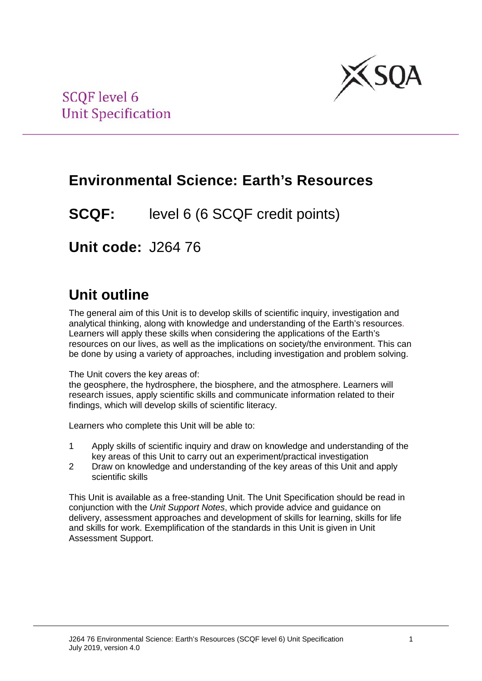

## **Environmental Science: Earth's Resources**

**SCQF:** level 6 (6 SCQF credit points)

**Unit code:** J264 76

# **Unit outline**

The general aim of this Unit is to develop skills of scientific inquiry, investigation and analytical thinking, along with knowledge and understanding of the Earth's resources. Learners will apply these skills when considering the applications of the Earth's resources on our lives, as well as the implications on society/the environment. This can be done by using a variety of approaches, including investigation and problem solving.

The Unit covers the key areas of:

the geosphere, the hydrosphere, the biosphere, and the atmosphere. Learners will research issues, apply scientific skills and communicate information related to their findings, which will develop skills of scientific literacy.

Learners who complete this Unit will be able to:

- 1 Apply skills of scientific inquiry and draw on knowledge and understanding of the key areas of this Unit to carry out an experiment/practical investigation
- 2 Draw on knowledge and understanding of the key areas of this Unit and apply scientific skills

This Unit is available as a free-standing Unit. The Unit Specification should be read in conjunction with the *Unit Support Notes*, which provide advice and guidance on delivery, assessment approaches and development of skills for learning, skills for life and skills for work. Exemplification of the standards in this Unit is given in Unit Assessment Support.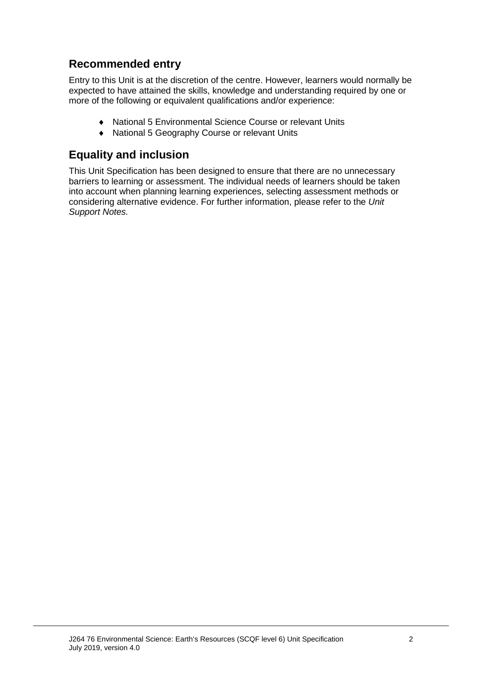## **Recommended entry**

Entry to this Unit is at the discretion of the centre. However, learners would normally be expected to have attained the skills, knowledge and understanding required by one or more of the following or equivalent qualifications and/or experience:

- ♦ National 5 Environmental Science Course or relevant Units
- ♦ National 5 Geography Course or relevant Units

## **Equality and inclusion**

This Unit Specification has been designed to ensure that there are no unnecessary barriers to learning or assessment. The individual needs of learners should be taken into account when planning learning experiences, selecting assessment methods or considering alternative evidence. For further information, please refer to the *Unit Support Notes.*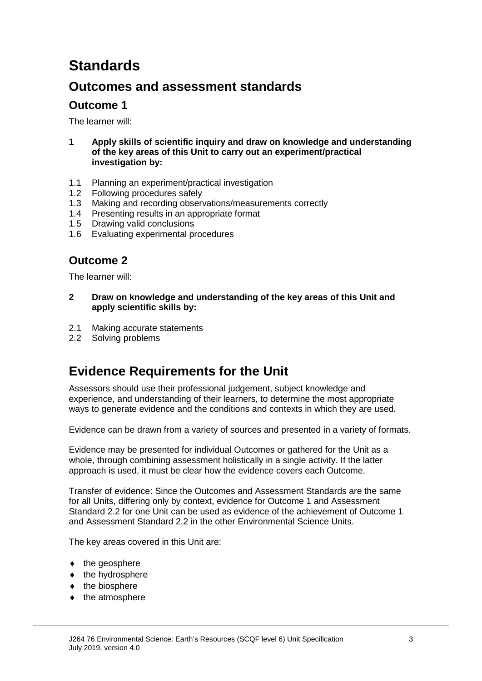# **Standards**

## **Outcomes and assessment standards**

## **Outcome 1**

The learner will:

- **1 Apply skills of scientific inquiry and draw on knowledge and understanding of the key areas of this Unit to carry out an experiment/practical investigation by:**
- 1.1 Planning an experiment/practical investigation
- 1.2 Following procedures safely
- 1.3 Making and recording observations/measurements correctly
- 1.4 Presenting results in an appropriate format
- 1.5 Drawing valid conclusions
- 1.6 Evaluating experimental procedures

## **Outcome 2**

The learner will:

- **2 Draw on knowledge and understanding of the key areas of this Unit and apply scientific skills by:**
- 2.1 Making accurate statements
- 2.2 Solving problems

## **Evidence Requirements for the Unit**

Assessors should use their professional judgement, subject knowledge and experience, and understanding of their learners, to determine the most appropriate ways to generate evidence and the conditions and contexts in which they are used.

Evidence can be drawn from a variety of sources and presented in a variety of formats.

Evidence may be presented for individual Outcomes or gathered for the Unit as a whole, through combining assessment holistically in a single activity. If the latter approach is used, it must be clear how the evidence covers each Outcome.

Transfer of evidence: Since the Outcomes and Assessment Standards are the same for all Units, differing only by context, evidence for Outcome 1 and Assessment Standard 2.2 for one Unit can be used as evidence of the achievement of Outcome 1 and Assessment Standard 2.2 in the other Environmental Science Units.

The key areas covered in this Unit are:

- $\bullet$  the geosphere
- $\bullet$  the hydrosphere
- $\bullet$  the biosphere
- ♦ the atmosphere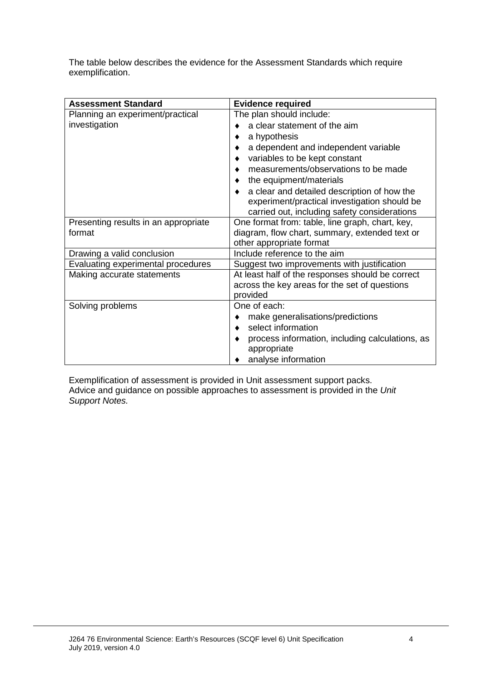The table below describes the evidence for the Assessment Standards which require exemplification.

| <b>Assessment Standard</b>           | <b>Evidence required</b>                             |  |  |
|--------------------------------------|------------------------------------------------------|--|--|
| Planning an experiment/practical     | The plan should include:                             |  |  |
| investigation                        | a clear statement of the aim                         |  |  |
|                                      | a hypothesis                                         |  |  |
|                                      | a dependent and independent variable                 |  |  |
|                                      | variables to be kept constant                        |  |  |
|                                      | measurements/observations to be made                 |  |  |
|                                      | the equipment/materials                              |  |  |
|                                      | a clear and detailed description of how the<br>٠     |  |  |
|                                      | experiment/practical investigation should be         |  |  |
|                                      | carried out, including safety considerations         |  |  |
| Presenting results in an appropriate | One format from: table, line graph, chart, key,      |  |  |
| format                               | diagram, flow chart, summary, extended text or       |  |  |
|                                      | other appropriate format                             |  |  |
| Drawing a valid conclusion           | Include reference to the aim                         |  |  |
| Evaluating experimental procedures   | Suggest two improvements with justification          |  |  |
| Making accurate statements           | At least half of the responses should be correct     |  |  |
|                                      | across the key areas for the set of questions        |  |  |
|                                      | provided                                             |  |  |
| Solving problems                     | One of each:                                         |  |  |
|                                      | make generalisations/predictions<br>٠                |  |  |
|                                      | select information<br>$\bullet$                      |  |  |
|                                      | process information, including calculations, as<br>٠ |  |  |
|                                      | appropriate                                          |  |  |
|                                      | analyse information                                  |  |  |

Exemplification of assessment is provided in Unit assessment support packs. Advice and guidance on possible approaches to assessment is provided in the *Unit Support Notes.*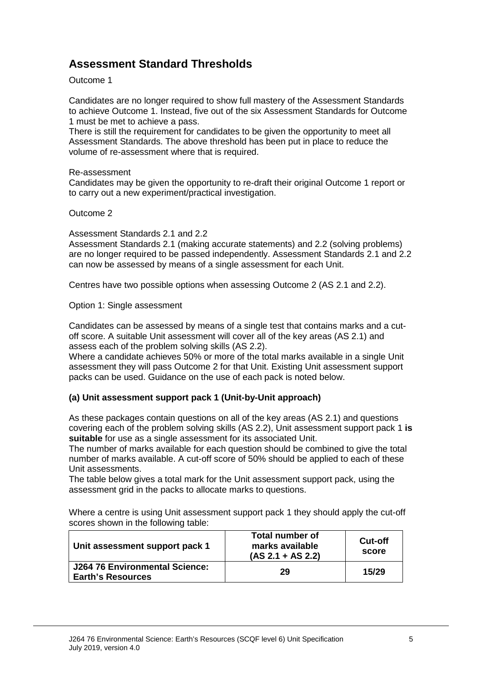## **Assessment Standard Thresholds**

#### Outcome 1

Candidates are no longer required to show full mastery of the Assessment Standards to achieve Outcome 1. Instead, five out of the six Assessment Standards for Outcome 1 must be met to achieve a pass.

There is still the requirement for candidates to be given the opportunity to meet all Assessment Standards. The above threshold has been put in place to reduce the volume of re-assessment where that is required.

#### Re-assessment

Candidates may be given the opportunity to re-draft their original Outcome 1 report or to carry out a new experiment/practical investigation.

#### Outcome 2

Assessment Standards 2.1 and 2.2

Assessment Standards 2.1 (making accurate statements) and 2.2 (solving problems) are no longer required to be passed independently. Assessment Standards 2.1 and 2.2 can now be assessed by means of a single assessment for each Unit.

Centres have two possible options when assessing Outcome 2 (AS 2.1 and 2.2).

Option 1: Single assessment

Candidates can be assessed by means of a single test that contains marks and a cutoff score. A suitable Unit assessment will cover all of the key areas (AS 2.1) and assess each of the problem solving skills (AS 2.2).

Where a candidate achieves 50% or more of the total marks available in a single Unit assessment they will pass Outcome 2 for that Unit. Existing Unit assessment support packs can be used. Guidance on the use of each pack is noted below.

#### **(a) Unit assessment support pack 1 (Unit-by-Unit approach)**

As these packages contain questions on all of the key areas (AS 2.1) and questions covering each of the problem solving skills (AS 2.2), Unit assessment support pack 1 **is suitable** for use as a single assessment for its associated Unit.

The number of marks available for each question should be combined to give the total number of marks available. A cut-off score of 50% should be applied to each of these Unit assessments.

The table below gives a total mark for the Unit assessment support pack, using the assessment grid in the packs to allocate marks to questions.

Where a centre is using Unit assessment support pack 1 they should apply the cut-off scores shown in the following table:

| Unit assessment support pack 1                             | <b>Total number of</b><br>marks available<br>$(AS 2.1 + AS 2.2)$ | <b>Cut-off</b><br>score |
|------------------------------------------------------------|------------------------------------------------------------------|-------------------------|
| J264 76 Environmental Science:<br><b>Earth's Resources</b> | 29                                                               | 15/29                   |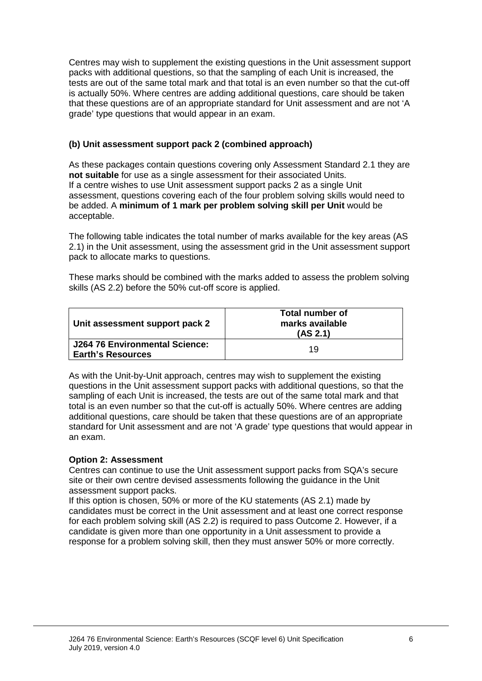Centres may wish to supplement the existing questions in the Unit assessment support packs with additional questions, so that the sampling of each Unit is increased, the tests are out of the same total mark and that total is an even number so that the cut-off is actually 50%. Where centres are adding additional questions, care should be taken that these questions are of an appropriate standard for Unit assessment and are not 'A grade' type questions that would appear in an exam.

#### **(b) Unit assessment support pack 2 (combined approach)**

As these packages contain questions covering only Assessment Standard 2.1 they are **not suitable** for use as a single assessment for their associated Units. If a centre wishes to use Unit assessment support packs 2 as a single Unit assessment, questions covering each of the four problem solving skills would need to be added. A **minimum of 1 mark per problem solving skill per Unit** would be acceptable.

The following table indicates the total number of marks available for the key areas (AS 2.1) in the Unit assessment, using the assessment grid in the Unit assessment support pack to allocate marks to questions.

These marks should be combined with the marks added to assess the problem solving skills (AS 2.2) before the 50% cut-off score is applied.

| Unit assessment support pack 2                             | <b>Total number of</b><br>marks available<br>(AS 2.1) |
|------------------------------------------------------------|-------------------------------------------------------|
| J264 76 Environmental Science:<br><b>Earth's Resources</b> | 19                                                    |

As with the Unit-by-Unit approach, centres may wish to supplement the existing questions in the Unit assessment support packs with additional questions, so that the sampling of each Unit is increased, the tests are out of the same total mark and that total is an even number so that the cut-off is actually 50%. Where centres are adding additional questions, care should be taken that these questions are of an appropriate standard for Unit assessment and are not 'A grade' type questions that would appear in an exam.

#### **Option 2: Assessment**

Centres can continue to use the Unit assessment support packs from SQA's secure site or their own centre devised assessments following the guidance in the Unit assessment support packs.

If this option is chosen, 50% or more of the KU statements (AS 2.1) made by candidates must be correct in the Unit assessment and at least one correct response for each problem solving skill (AS 2.2) is required to pass Outcome 2. However, if a candidate is given more than one opportunity in a Unit assessment to provide a response for a problem solving skill, then they must answer 50% or more correctly.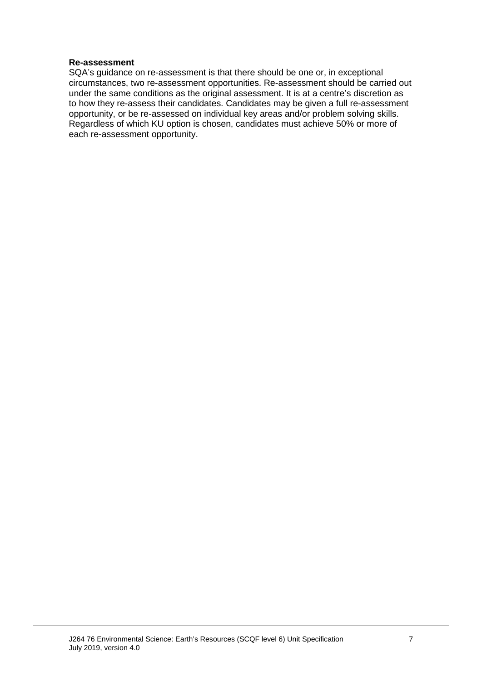#### **Re-assessment**

SQA's guidance on re-assessment is that there should be one or, in exceptional circumstances, two re-assessment opportunities. Re-assessment should be carried out under the same conditions as the original assessment. It is at a centre's discretion as to how they re-assess their candidates. Candidates may be given a full re-assessment opportunity, or be re-assessed on individual key areas and/or problem solving skills. Regardless of which KU option is chosen, candidates must achieve 50% or more of each re-assessment opportunity.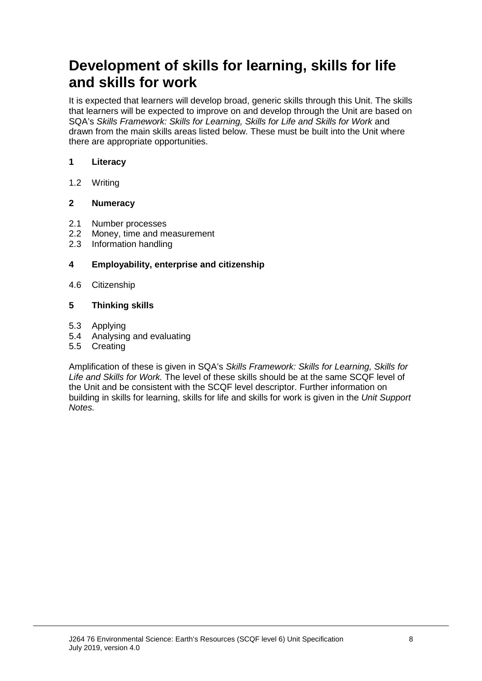# **Development of skills for learning, skills for life and skills for work**

It is expected that learners will develop broad, generic skills through this Unit. The skills that learners will be expected to improve on and develop through the Unit are based on SQA's *Skills Framework: Skills for Learning, Skills for Life and Skills for Work* and drawn from the main skills areas listed below. These must be built into the Unit where there are appropriate opportunities.

#### **1 Literacy**

1.2 Writing

#### **2 Numeracy**

- 2.1 Number processes
- 2.2 Money, time and measurement<br>2.3 Information handling
- Information handling

#### **4 Employability, enterprise and citizenship**

4.6 Citizenship

#### **5 Thinking skills**

- 5.3 Applying
- 5.4 Analysing and evaluating
- 5.5 Creating

Amplification of these is given in SQA's *Skills Framework: Skills for Learning, Skills for Life and Skills for Work.* The level of these skills should be at the same SCQF level of the Unit and be consistent with the SCQF level descriptor. Further information on building in skills for learning, skills for life and skills for work is given in the *Unit Support Notes.*